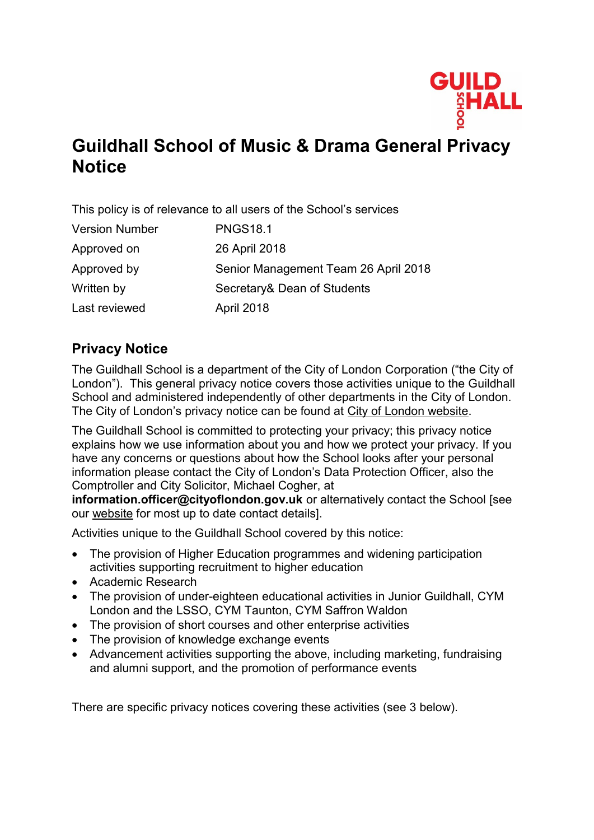

# **Guildhall School of Music & Drama General Privacy Notice**

This policy is of relevance to all users of the School's services

| <b>PNGS18.1</b>                      |
|--------------------------------------|
| 26 April 2018                        |
| Senior Management Team 26 April 2018 |
| Secretary& Dean of Students          |
| <b>April 2018</b>                    |
|                                      |

## **Privacy Notice**

The Guildhall School is a department of the City of London Corporation ("the City of London"). This general privacy notice covers those activities unique to the Guildhall School and administered independently of other departments in the City of London. The City of London's privacy notice can be found at [City of London website.](http://www.cityoflondon.gov.uk/privacy)

The Guildhall School is committed to protecting your privacy; this privacy notice explains how we use information about you and how we protect your privacy. If you have any concerns or questions about how the School looks after your personal information please contact the City of London's Data Protection Officer, also the Comptroller and City Solicitor, Michael Cogher, at

**[information.officer@cityoflondon.gov.uk](mailto:information.officer@cityoflondon.gov.uk)** or alternatively contact the School [see our [website](http://www.gsmd.ac.uk/privacy) for most up to date contact details].

Activities unique to the Guildhall School covered by this notice:

- The provision of Higher Education programmes and widening participation activities supporting recruitment to higher education
- Academic Research
- The provision of under-eighteen educational activities in Junior Guildhall, CYM London and the LSSO, CYM Taunton, CYM Saffron Waldon
- The provision of short courses and other enterprise activities
- The provision of knowledge exchange events
- Advancement activities supporting the above, including marketing, fundraising and alumni support, and the promotion of performance events

There are specific privacy notices covering these activities (see 3 below).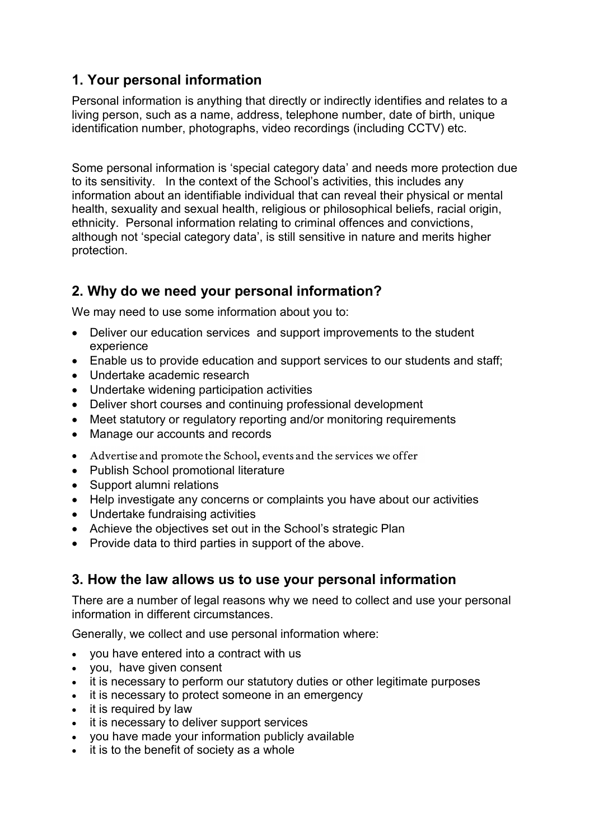## **1. Your personal information**

Personal information is anything that directly or indirectly identifies and relates to a living person, such as a name, address, telephone number, date of birth, unique identification number, photographs, video recordings (including CCTV) etc.

Some personal information is 'special category data' and needs more protection due to its sensitivity. In the context of the School's activities, this includes any information about an identifiable individual that can reveal their physical or mental health, sexuality and sexual health, religious or philosophical beliefs, racial origin, ethnicity. Personal information relating to criminal offences and convictions, although not 'special category data', is still sensitive in nature and merits higher protection.

## **2. Why do we need your personal information?**

We may need to use some information about you to:

- Deliver our education services and support improvements to the student experience
- Enable us to provide education and support services to our students and staff;
- Undertake academic research
- Undertake widening participation activities
- Deliver short courses and continuing professional development
- Meet statutory or regulatory reporting and/or monitoring requirements
- Manage our accounts and records
- Advertise and promote the School, events and the services we offer
- Publish School promotional literature
- Support alumni relations
- Help investigate any concerns or complaints you have about our activities
- Undertake fundraising activities
- Achieve the objectives set out in the School's strategic Plan
- Provide data to third parties in support of the above.

## **3. How the law allows us to use your personal information**

There are a number of legal reasons why we need to collect and use your personal information in different circumstances.

Generally, we collect and use personal information where:

- you have entered into a contract with us
- you, have given consent
- it is necessary to perform our statutory duties or other legitimate purposes
- it is necessary to protect someone in an emergency
- it is required by law
- it is necessary to deliver support services
- you have made your information publicly available
- $\bullet$  it is to the benefit of society as a whole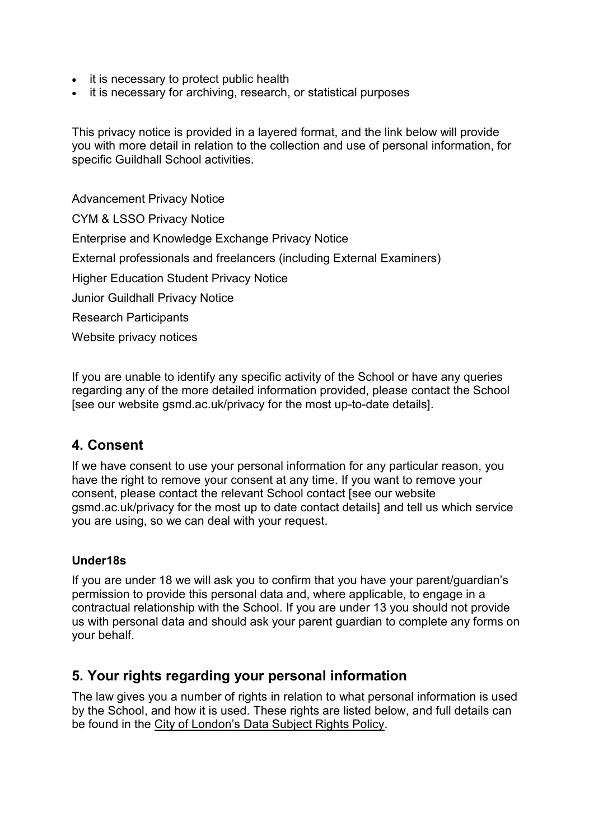- it is necessary to protect public health
- it is necessary for archiving, research, or statistical purposes

This privacy notice is provided in a layered format, and the link below will provide you with more detail in relation to the collection and use of personal information, for specific Guildhall School activities.

Advancement Privacy Notice CYM & LSSO Privacy Notice Enterprise and Knowledge Exchange Privacy Notice External professionals and freelancers (including External Examiners) Higher Education Student Privacy Notice Junior Guildhall Privacy Notice Research Participants Website privacy notices

If you are unable to identify any specific activity of the School or have any queries regarding any of the more detailed information provided, please contact the School [see our website gsmd.ac.uk/privacy for the most up-to-date details].

### **4. Consent**

If we have consent to use your personal information for any particular reason, you have the right to remove your consent at any time. If you want to remove your consent, please contact the relevant School contact [see our website gsmd.ac.uk/privacy for the most up to date contact details] and tell us which service you are using, so we can deal with your request.

#### **Under18s**

If you are under 18 we will ask you to confirm that you have your parent/guardian's permission to provide this personal data and, where applicable, to engage in a contractual relationship with the School. If you are under 13 you should not provide us with personal data and should ask your parent guardian to complete any forms on your behalf.

### **5. Your rights regarding your personal information**

The law gives you a number of rights in relation to what personal information is used by the School, and how it is used. These rights are listed below, and full details can be found in the [City of London's Data Subject Rights Policy](http://www.cityoflondon.gov.uk/).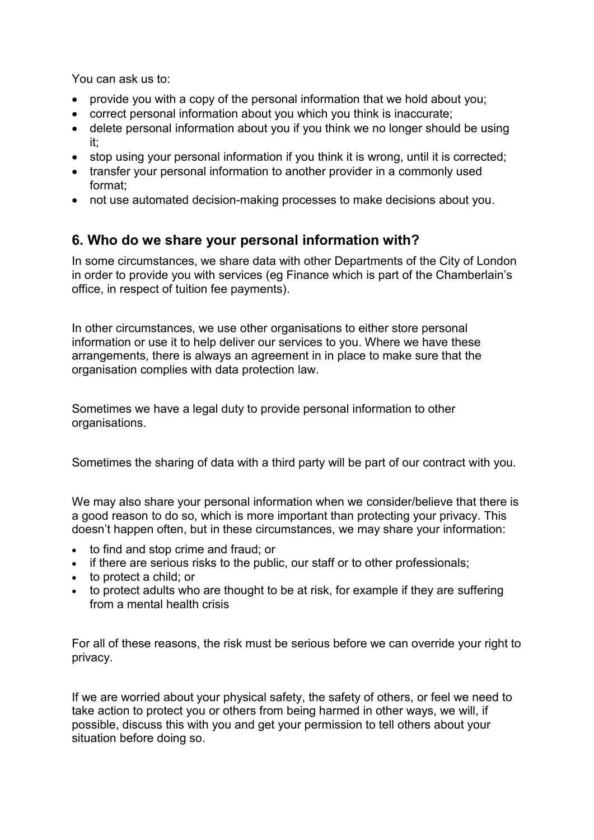You can ask us to:

- provide you with a copy of the personal information that we hold about you;
- correct personal information about you which you think is inaccurate;
- delete personal information about you if you think we no longer should be using it;
- stop using your personal information if you think it is wrong, until it is corrected;
- transfer your personal information to another provider in a commonly used format;
- not use automated decision-making processes to make decisions about you.

## **6. Who do we share your personal information with?**

In some circumstances, we share data with other Departments of the City of London in order to provide you with services (eg Finance which is part of the Chamberlain's office, in respect of tuition fee payments).

In other circumstances, we use other organisations to either store personal information or use it to help deliver our services to you. Where we have these arrangements, there is always an agreement in in place to make sure that the organisation complies with data protection law.

Sometimes we have a legal duty to provide personal information to other organisations.

Sometimes the sharing of data with a third party will be part of our contract with you.

We may also share your personal information when we consider/believe that there is a good reason to do so, which is more important than protecting your privacy. This doesn't happen often, but in these circumstances, we may share your information:

- to find and stop crime and fraud; or
- if there are serious risks to the public, our staff or to other professionals;
- to protect a child; or
- to protect adults who are thought to be at risk, for example if they are suffering from a mental health crisis

For all of these reasons, the risk must be serious before we can override your right to privacy.

If we are worried about your physical safety, the safety of others, or feel we need to take action to protect you or others from being harmed in other ways, we will, if possible, discuss this with you and get your permission to tell others about your situation before doing so.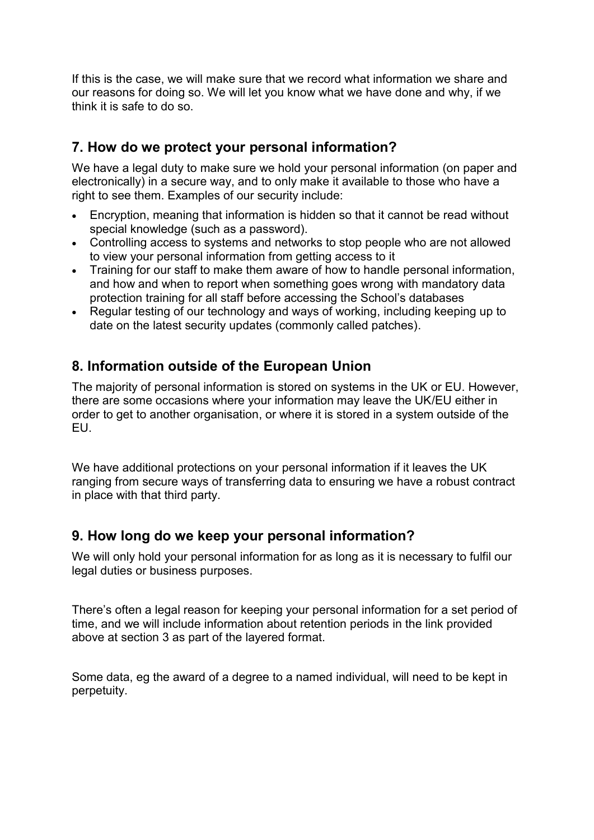If this is the case, we will make sure that we record what information we share and our reasons for doing so. We will let you know what we have done and why, if we think it is safe to do so.

## **7. How do we protect your personal information?**

We have a legal duty to make sure we hold your personal information (on paper and electronically) in a secure way, and to only make it available to those who have a right to see them. Examples of our security include:

- Encryption, meaning that information is hidden so that it cannot be read without special knowledge (such as a password).
- Controlling access to systems and networks to stop people who are not allowed to view your personal information from getting access to it
- Training for our staff to make them aware of how to handle personal information, and how and when to report when something goes wrong with mandatory data protection training for all staff before accessing the School's databases
- Regular testing of our technology and ways of working, including keeping up to date on the latest security updates (commonly called patches).

## **8. Information outside of the European Union**

The majority of personal information is stored on systems in the UK or EU. However, there are some occasions where your information may leave the UK/EU either in order to get to another organisation, or where it is stored in a system outside of the EU.

We have additional protections on your personal information if it leaves the UK ranging from secure ways of transferring data to ensuring we have a robust contract in place with that third party.

## **9. How long do we keep your personal information?**

We will only hold your personal information for as long as it is necessary to fulfil our legal duties or business purposes.

There's often a legal reason for keeping your personal information for a set period of time, and we will include information about retention periods in the link provided above at section 3 as part of the layered format.

Some data, eg the award of a degree to a named individual, will need to be kept in perpetuity.